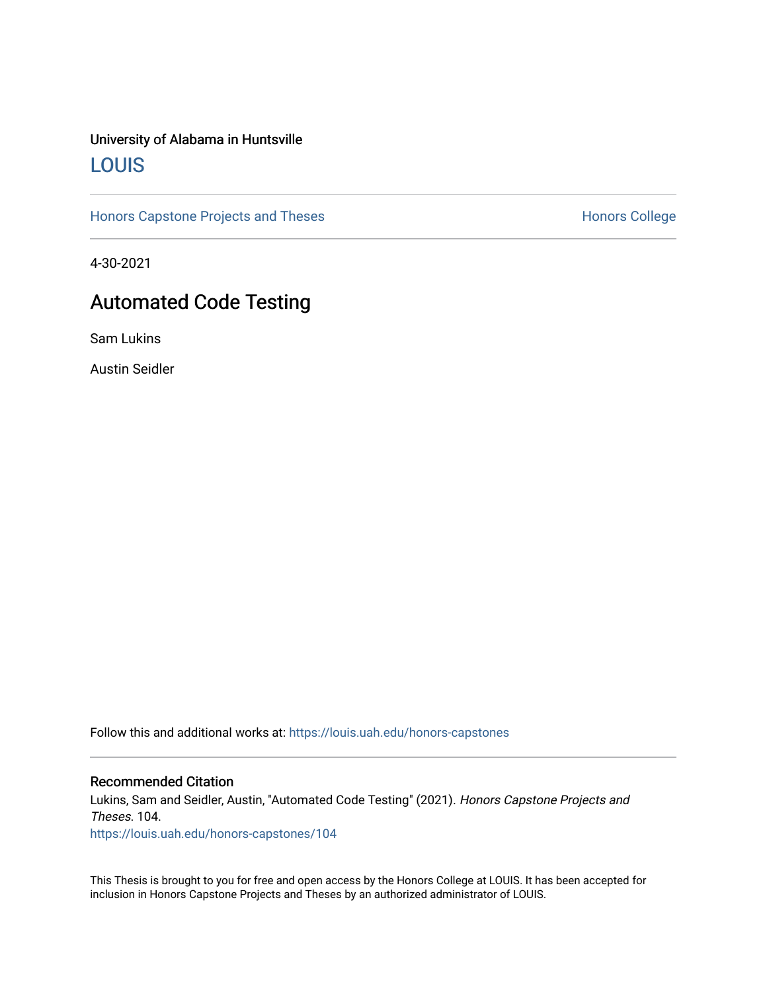# University of Alabama in Huntsville [LOUIS](https://louis.uah.edu/)

[Honors Capstone Projects and Theses](https://louis.uah.edu/honors-capstones) **Honors College** Honors College

4-30-2021

# Automated Code Testing

Sam Lukins

Austin Seidler

Follow this and additional works at: [https://louis.uah.edu/honors-capstones](https://louis.uah.edu/honors-capstones?utm_source=louis.uah.edu%2Fhonors-capstones%2F104&utm_medium=PDF&utm_campaign=PDFCoverPages) 

### Recommended Citation

Lukins, Sam and Seidler, Austin, "Automated Code Testing" (2021). Honors Capstone Projects and Theses. 104.

[https://louis.uah.edu/honors-capstones/104](https://louis.uah.edu/honors-capstones/104?utm_source=louis.uah.edu%2Fhonors-capstones%2F104&utm_medium=PDF&utm_campaign=PDFCoverPages) 

This Thesis is brought to you for free and open access by the Honors College at LOUIS. It has been accepted for inclusion in Honors Capstone Projects and Theses by an authorized administrator of LOUIS.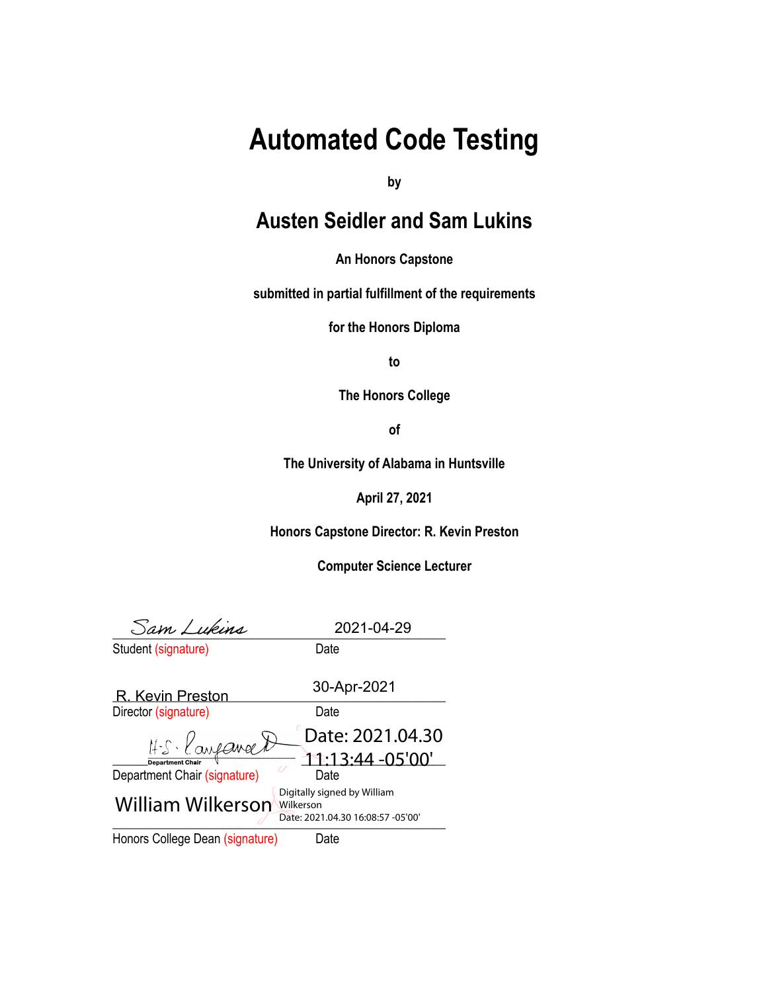# **Automated Code Testing**

**by**

# **Austen Seidler and Sam Lukins**

**An Honors Capstone**

**submitted in partial fulfillment of the requirements**

**for the Honors Diploma**

**to**

**The Honors College**

**of**

**The University of Alabama in Huntsville**

**April 27, 2021**

**Honors Capstone Director: R. Kevin Preston**

**Computer Science Lecturer**

 $\frac{1}{2027 - 04 - 29}$ 

2021-04-29

| Student (signature) | Date |
|---------------------|------|

|                                 | 30-Apr-2021                                                                   |
|---------------------------------|-------------------------------------------------------------------------------|
| <b>R. Kevin Preston</b>         |                                                                               |
| Director (signature)            | Date                                                                          |
| H.S. Kanpaneert                 | Date: 2021.04.30                                                              |
| <b>Department Chair</b>         | 11:13:44 -05'00'                                                              |
| Department Chair (signature)    | Date                                                                          |
| William Wilkerson               | Digitally signed by William<br>Wilkerson<br>Date: 2021.04.30 16:08:57 -05'00' |
| Honors College Dean (signature) | Date                                                                          |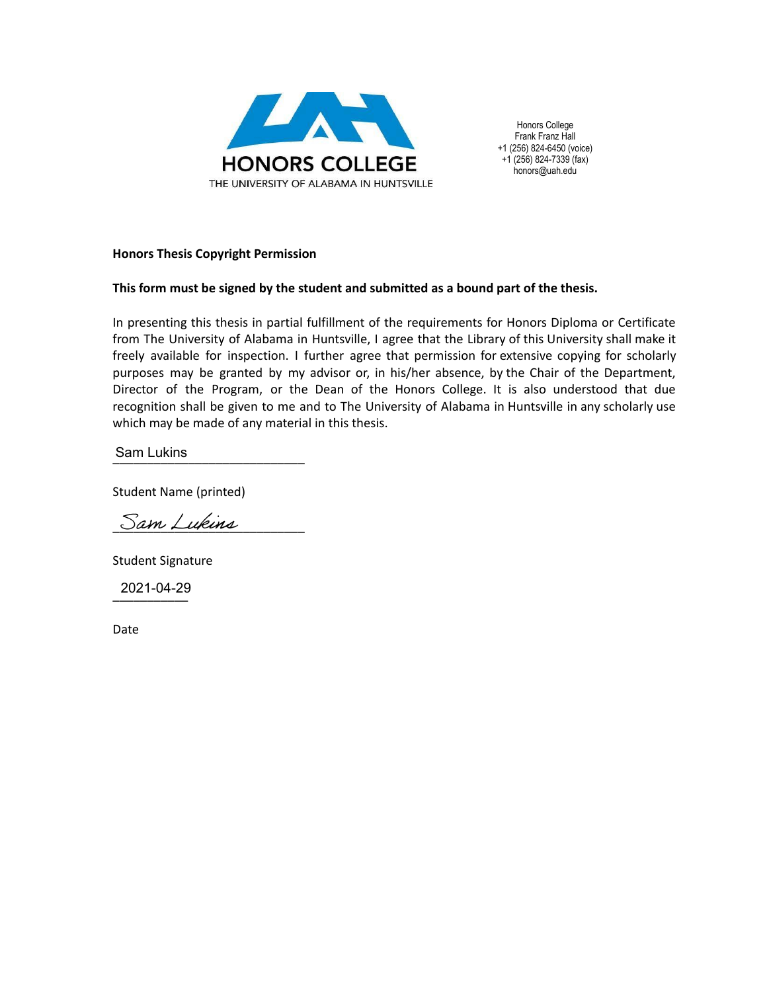

Honors College Frank Franz Hall +1 (256) 824-6450 (voice) +1 (256) 824-7339 (fax) honors@uah.edu

# **Honors Thesis Copyright Permission**

# **This form must be signed by the student and submitted as a bound part of the thesis.**

In presenting this thesis in partial fulfillment of the requirements for Honors Diploma or Certificate from The University of Alabama in Huntsville, I agree that the Library of this University shall make it freely available for inspection. I further agree that permission for extensive copying for scholarly purposes may be granted by my advisor or, in his/her absence, by the Chair of the Department, Director of the Program, or the Dean of the Honors College. It is also understood that due recognition shall be given to me and to The University of Alabama in Huntsville in any scholarly use which may be made of any material in this thesis.

\_\_\_\_\_\_\_\_\_\_\_\_\_\_\_\_\_\_\_\_\_\_\_\_\_\_\_\_ Sam Lukins

Student Name (printed)

Sam Lukins

Student Signature

\_\_\_\_\_\_\_\_\_\_\_ 2021-04-29

Date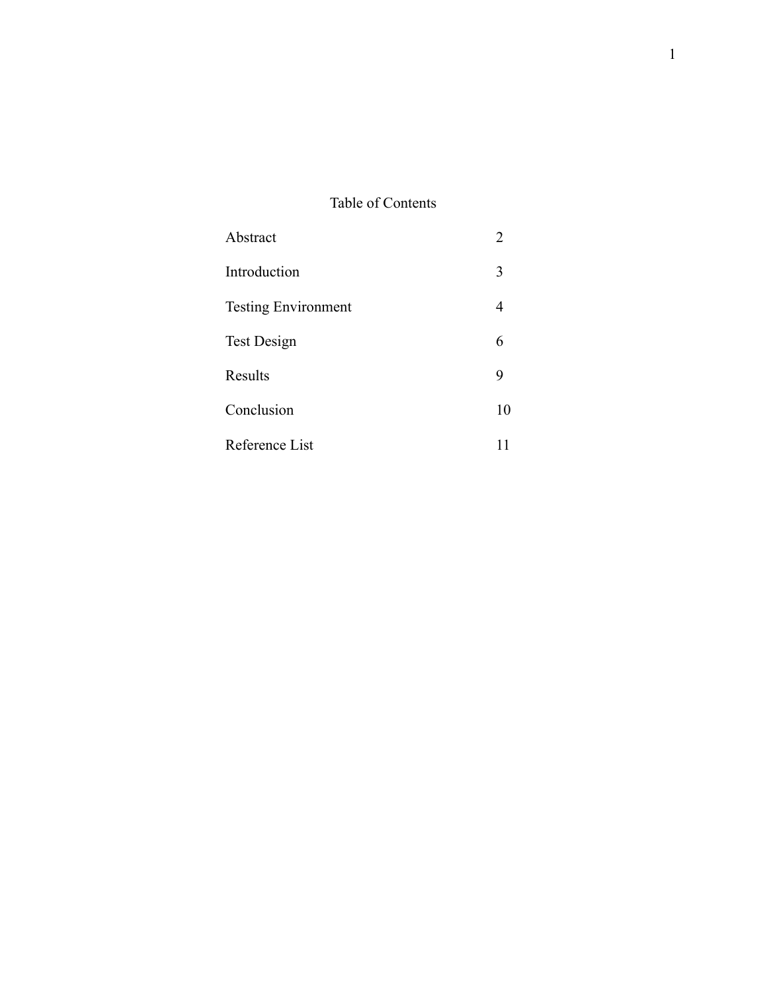# Table of Contents

| Abstract                   | 2  |
|----------------------------|----|
| Introduction               | 3  |
| <b>Testing Environment</b> | 4  |
| Test Design                | 6  |
| Results                    |    |
| Conclusion                 | 10 |
| Reference List             |    |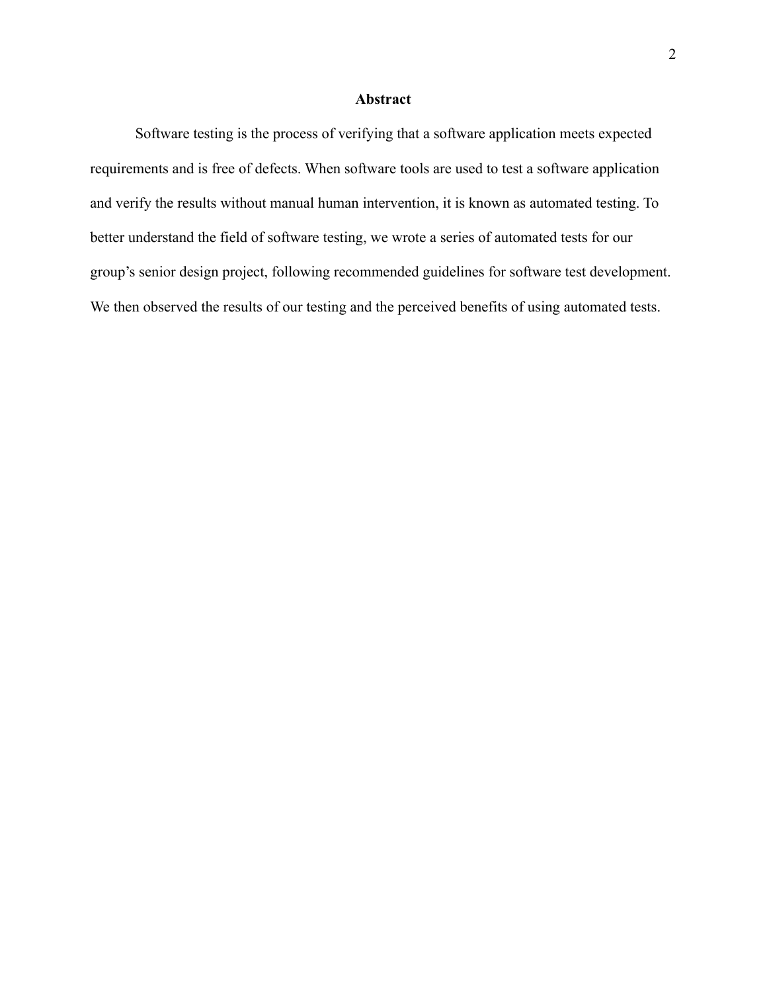# **Abstract**

Software testing is the process of verifying that a software application meets expected requirements and is free of defects. When software tools are used to test a software application and verify the results without manual human intervention, it is known as automated testing. To better understand the field of software testing, we wrote a series of automated tests for our group's senior design project, following recommended guidelines for software test development. We then observed the results of our testing and the perceived benefits of using automated tests.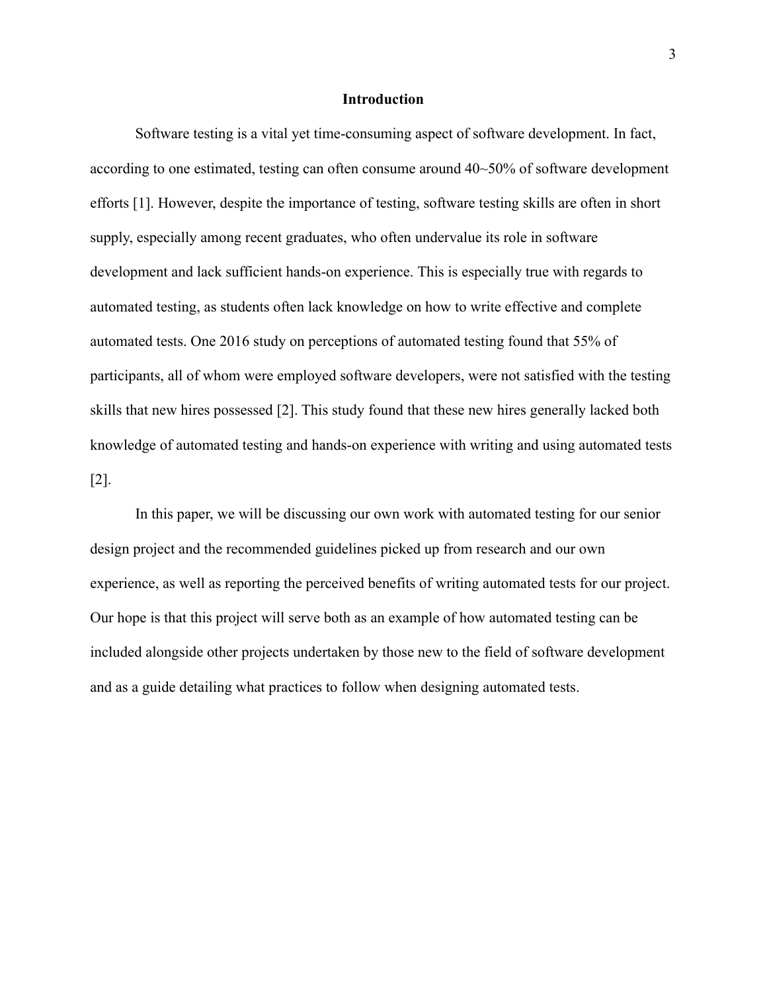### **Introduction**

Software testing is a vital yet time-consuming aspect of software development. In fact, according to one estimated, testing can often consume around 40~50% of software development efforts [1]. However, despite the importance of testing, software testing skills are often in short supply, especially among recent graduates, who often undervalue its role in software development and lack sufficient hands-on experience. This is especially true with regards to automated testing, as students often lack knowledge on how to write effective and complete automated tests. One 2016 study on perceptions of automated testing found that 55% of participants, all of whom were employed software developers, were not satisfied with the testing skills that new hires possessed [2]. This study found that these new hires generally lacked both knowledge of automated testing and hands-on experience with writing and using automated tests [2].

In this paper, we will be discussing our own work with automated testing for our senior design project and the recommended guidelines picked up from research and our own experience, as well as reporting the perceived benefits of writing automated tests for our project. Our hope is that this project will serve both as an example of how automated testing can be included alongside other projects undertaken by those new to the field of software development and as a guide detailing what practices to follow when designing automated tests.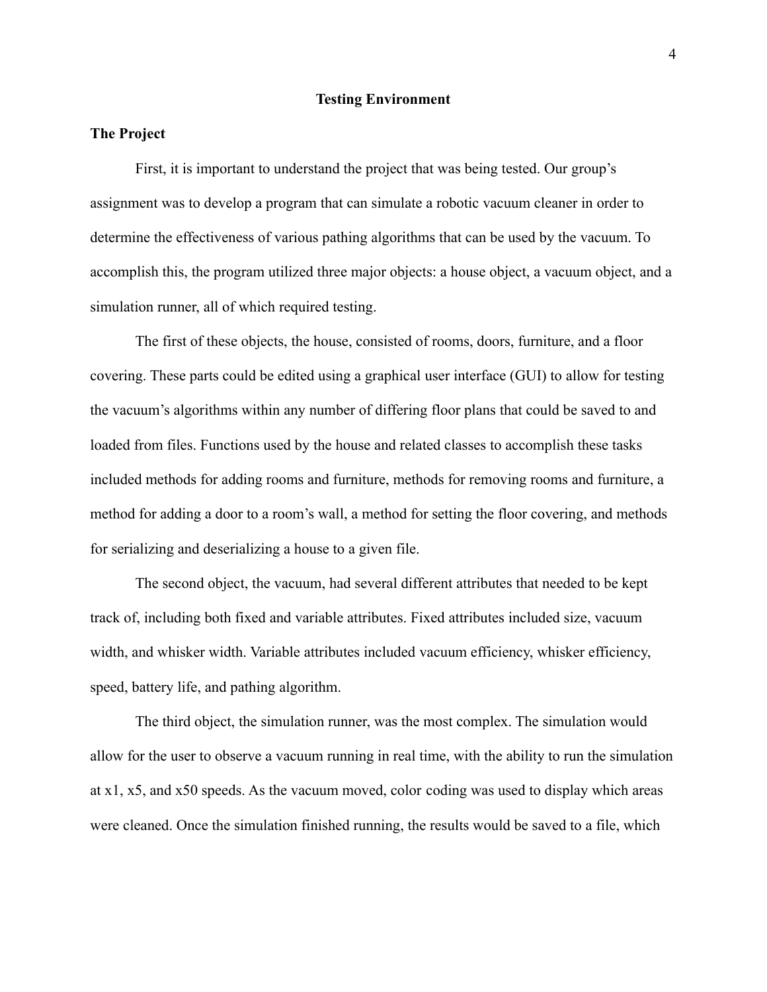#### **Testing Environment**

# **The Project**

First, it is important to understand the project that was being tested. Our group's assignment was to develop a program that can simulate a robotic vacuum cleaner in order to determine the effectiveness of various pathing algorithms that can be used by the vacuum. To accomplish this, the program utilized three major objects: a house object, a vacuum object, and a simulation runner, all of which required testing.

The first of these objects, the house, consisted of rooms, doors, furniture, and a floor covering. These parts could be edited using a graphical user interface (GUI) to allow for testing the vacuum's algorithms within any number of differing floor plans that could be saved to and loaded from files. Functions used by the house and related classes to accomplish these tasks included methods for adding rooms and furniture, methods for removing rooms and furniture, a method for adding a door to a room's wall, a method for setting the floor covering, and methods for serializing and deserializing a house to a given file.

The second object, the vacuum, had several different attributes that needed to be kept track of, including both fixed and variable attributes. Fixed attributes included size, vacuum width, and whisker width. Variable attributes included vacuum efficiency, whisker efficiency, speed, battery life, and pathing algorithm.

The third object, the simulation runner, was the most complex. The simulation would allow for the user to observe a vacuum running in real time, with the ability to run the simulation at x1, x5, and x50 speeds. As the vacuum moved, color coding was used to display which areas were cleaned. Once the simulation finished running, the results would be saved to a file, which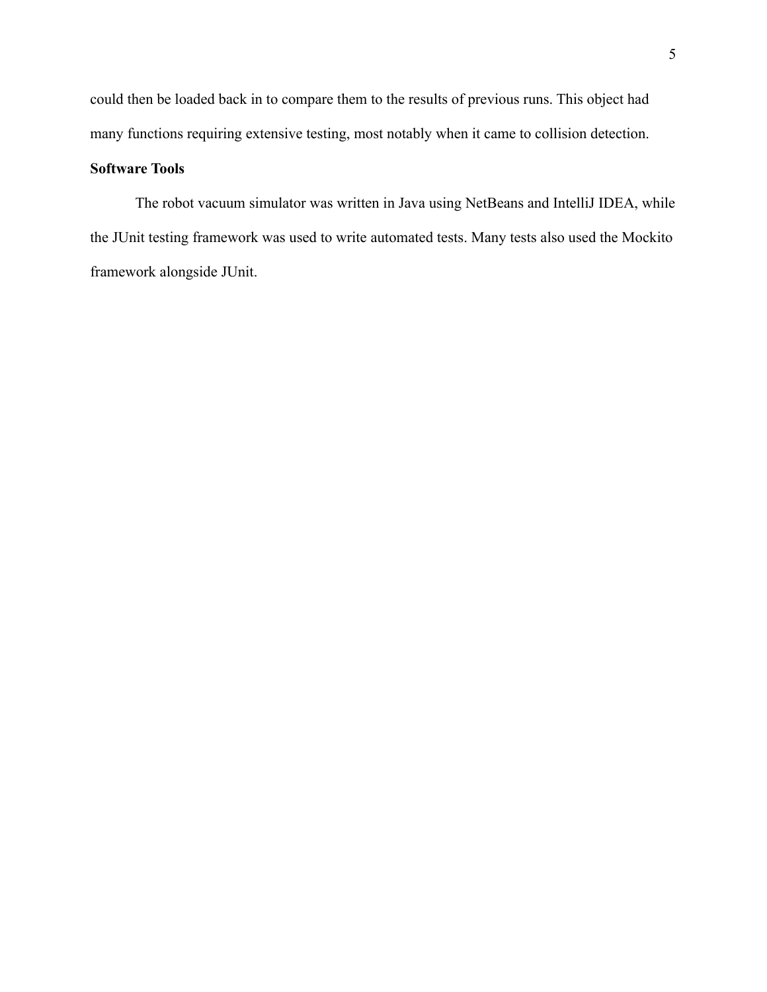could then be loaded back in to compare them to the results of previous runs. This object had many functions requiring extensive testing, most notably when it came to collision detection.

# **Software Tools**

The robot vacuum simulator was written in Java using NetBeans and IntelliJ IDEA, while the JUnit testing framework was used to write automated tests. Many tests also used the Mockito framework alongside JUnit.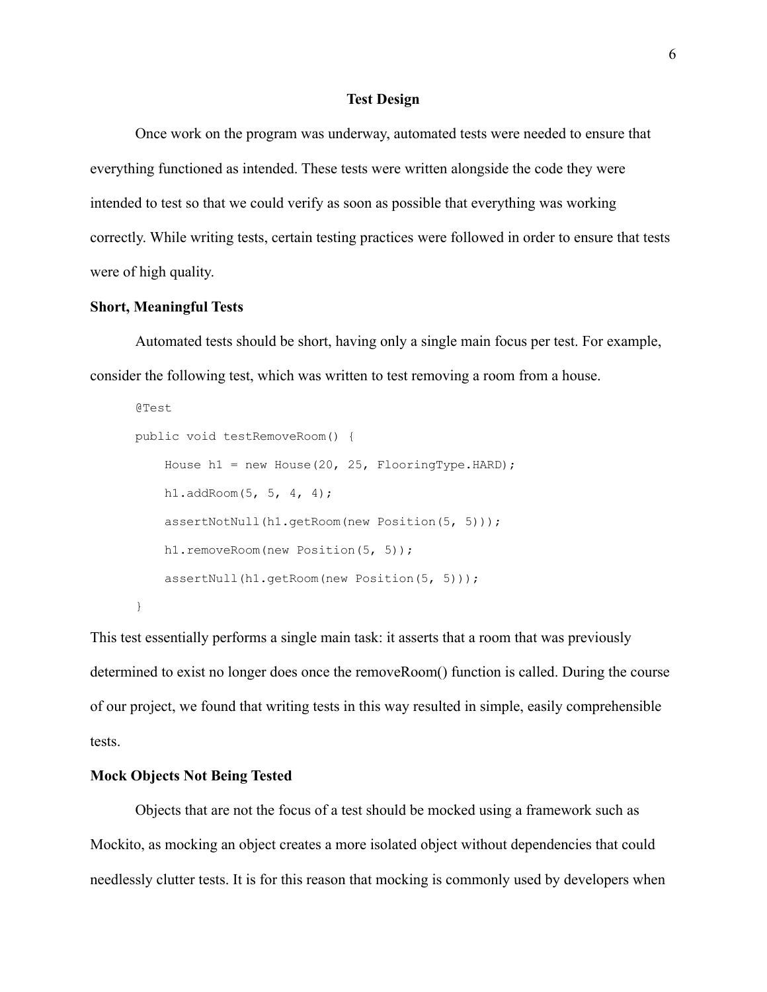## **Test Design**

Once work on the program was underway, automated tests were needed to ensure that everything functioned as intended. These tests were written alongside the code they were intended to test so that we could verify as soon as possible that everything was working correctly. While writing tests, certain testing practices were followed in order to ensure that tests were of high quality.

# **Short, Meaningful Tests**

Automated tests should be short, having only a single main focus per test. For example, consider the following test, which was written to test removing a room from a house.

```
@Test
public void testRemoveRoom() {
    House h1 = new House(20, 25, FlooringType.HARD);
    h1.addRoom(5, 5, 4, 4);
    assertNotNull(h1.getRoom(new Position(5, 5)));
    h1.removeRoom(new Position(5, 5));
    assertNull(h1.getRoom(new Position(5, 5)));
}
```
This test essentially performs a single main task: it asserts that a room that was previously determined to exist no longer does once the removeRoom() function is called. During the course of our project, we found that writing tests in this way resulted in simple, easily comprehensible tests.

### **Mock Objects Not Being Tested**

Objects that are not the focus of a test should be mocked using a framework such as Mockito, as mocking an object creates a more isolated object without dependencies that could needlessly clutter tests. It is for this reason that mocking is commonly used by developers when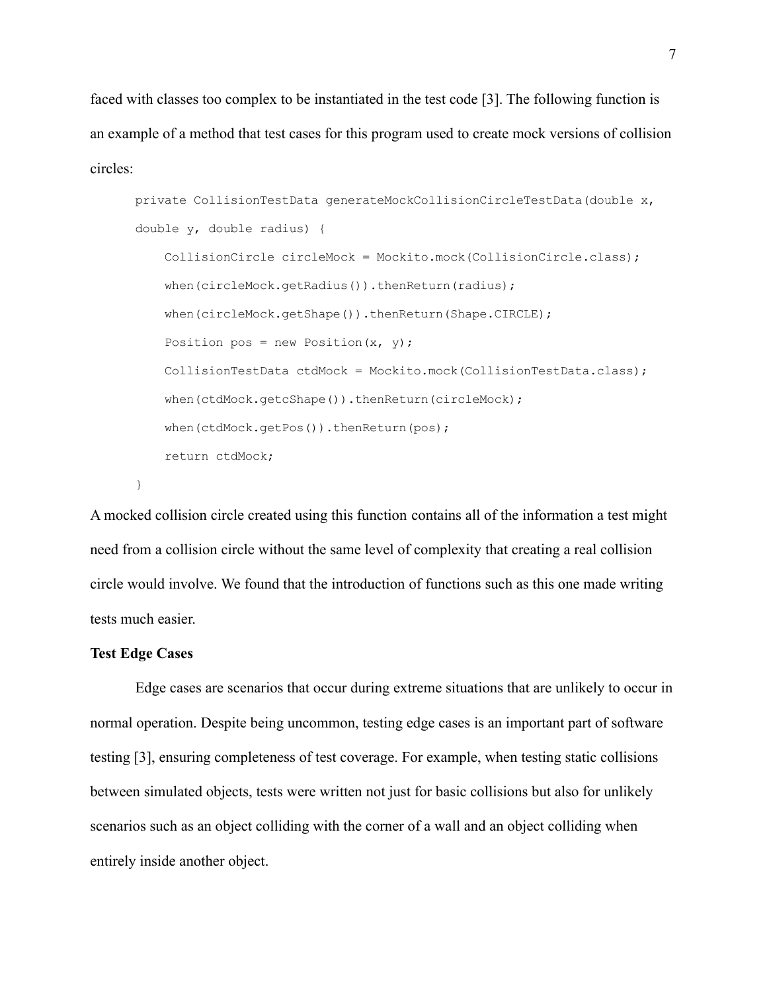faced with classes too complex to be instantiated in the test code [3]. The following function is an example of a method that test cases for this program used to create mock versions of collision circles:

```
private CollisionTestData generateMockCollisionCircleTestData(double x,
double y, double radius) {
    CollisionCircle circleMock = Mockito.mock(CollisionCircle.class);
    when(circleMock.getRadius()).thenReturn(radius);
    when(circleMock.getShape()).thenReturn(Shape.CIRCLE);
    Position pos = new Position(x, y);
    CollisionTestData ctdMock = Mockito.mock(CollisionTestData.class);
    when(ctdMock.getcShape()).thenReturn(circleMock);
    when(ctdMock.getPos()).thenReturn(pos);
    return ctdMock;
}
```
A mocked collision circle created using this function contains all of the information a test might need from a collision circle without the same level of complexity that creating a real collision circle would involve. We found that the introduction of functions such as this one made writing tests much easier.

# **Test Edge Cases**

Edge cases are scenarios that occur during extreme situations that are unlikely to occur in normal operation. Despite being uncommon, testing edge cases is an important part of software testing [3], ensuring completeness of test coverage. For example, when testing static collisions between simulated objects, tests were written not just for basic collisions but also for unlikely scenarios such as an object colliding with the corner of a wall and an object colliding when entirely inside another object.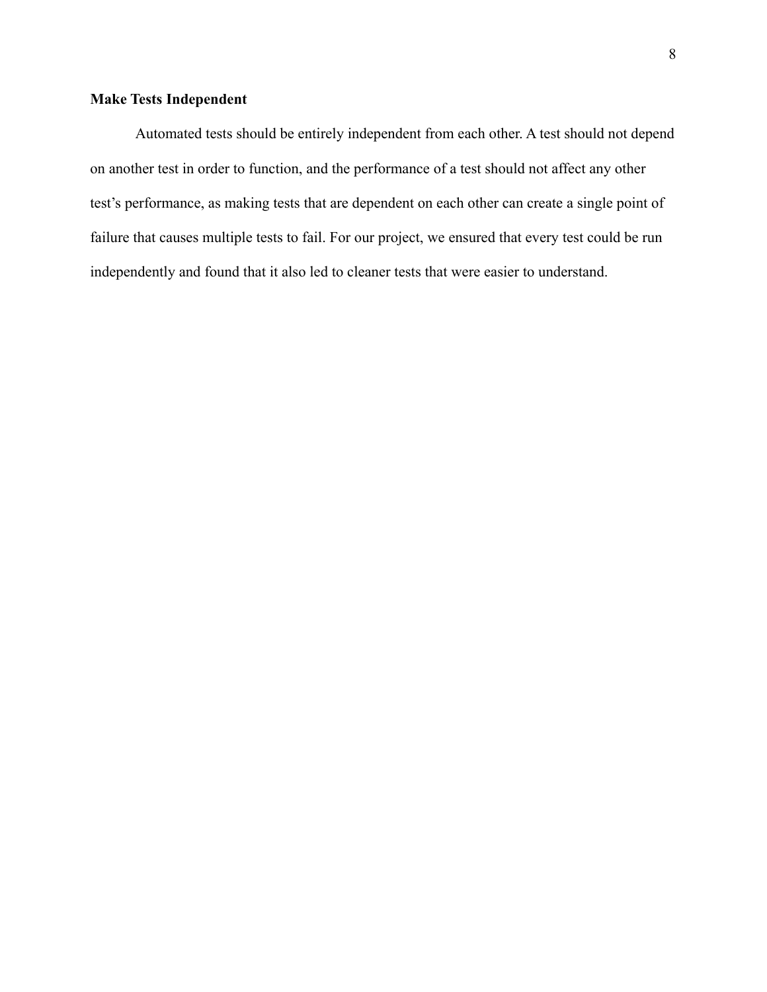# **Make Tests Independent**

Automated tests should be entirely independent from each other. A test should not depend on another test in order to function, and the performance of a test should not affect any other test's performance, as making tests that are dependent on each other can create a single point of failure that causes multiple tests to fail. For our project, we ensured that every test could be run independently and found that it also led to cleaner tests that were easier to understand.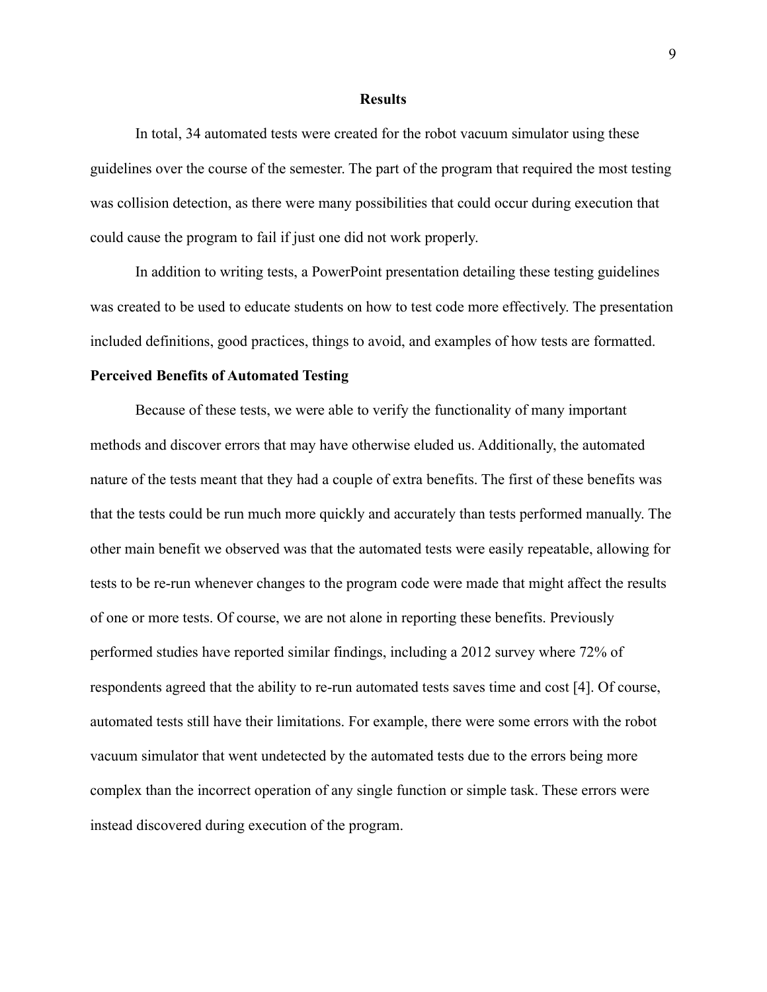#### **Results**

In total, 34 automated tests were created for the robot vacuum simulator using these guidelines over the course of the semester. The part of the program that required the most testing was collision detection, as there were many possibilities that could occur during execution that could cause the program to fail if just one did not work properly.

In addition to writing tests, a PowerPoint presentation detailing these testing guidelines was created to be used to educate students on how to test code more effectively. The presentation included definitions, good practices, things to avoid, and examples of how tests are formatted.

#### **Perceived Benefits of Automated Testing**

Because of these tests, we were able to verify the functionality of many important methods and discover errors that may have otherwise eluded us. Additionally, the automated nature of the tests meant that they had a couple of extra benefits. The first of these benefits was that the tests could be run much more quickly and accurately than tests performed manually. The other main benefit we observed was that the automated tests were easily repeatable, allowing for tests to be re-run whenever changes to the program code were made that might affect the results of one or more tests. Of course, we are not alone in reporting these benefits. Previously performed studies have reported similar findings, including a 2012 survey where 72% of respondents agreed that the ability to re-run automated tests saves time and cost [4]. Of course, automated tests still have their limitations. For example, there were some errors with the robot vacuum simulator that went undetected by the automated tests due to the errors being more complex than the incorrect operation of any single function or simple task. These errors were instead discovered during execution of the program.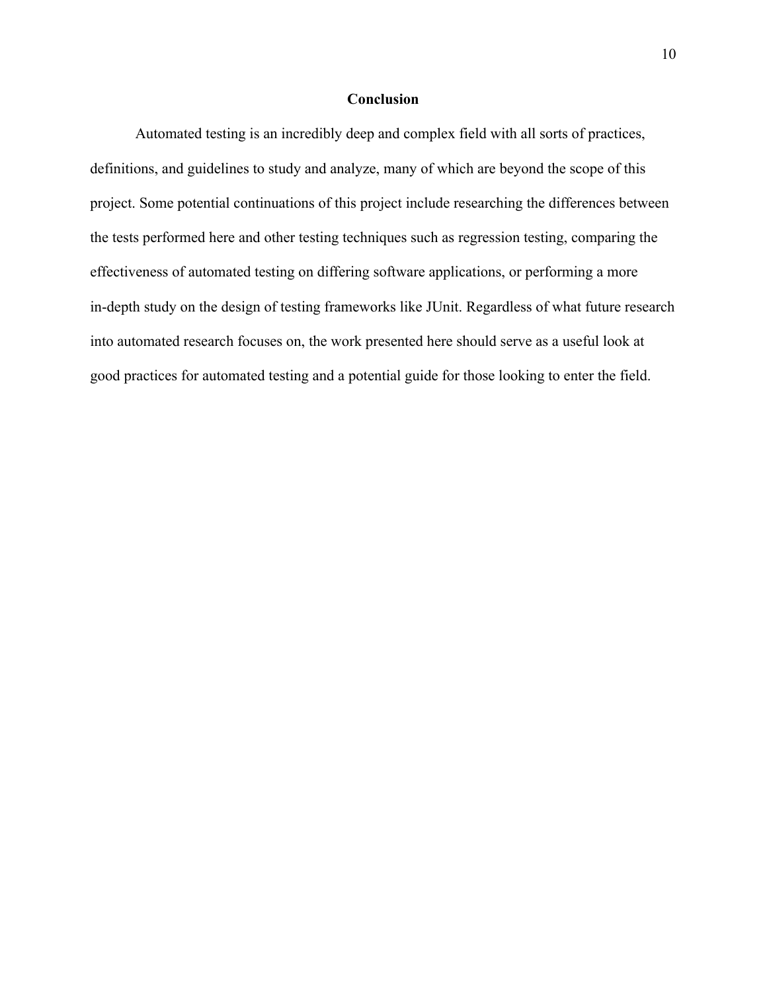# **Conclusion**

Automated testing is an incredibly deep and complex field with all sorts of practices, definitions, and guidelines to study and analyze, many of which are beyond the scope of this project. Some potential continuations of this project include researching the differences between the tests performed here and other testing techniques such as regression testing, comparing the effectiveness of automated testing on differing software applications, or performing a more in-depth study on the design of testing frameworks like JUnit. Regardless of what future research into automated research focuses on, the work presented here should serve as a useful look at good practices for automated testing and a potential guide for those looking to enter the field.